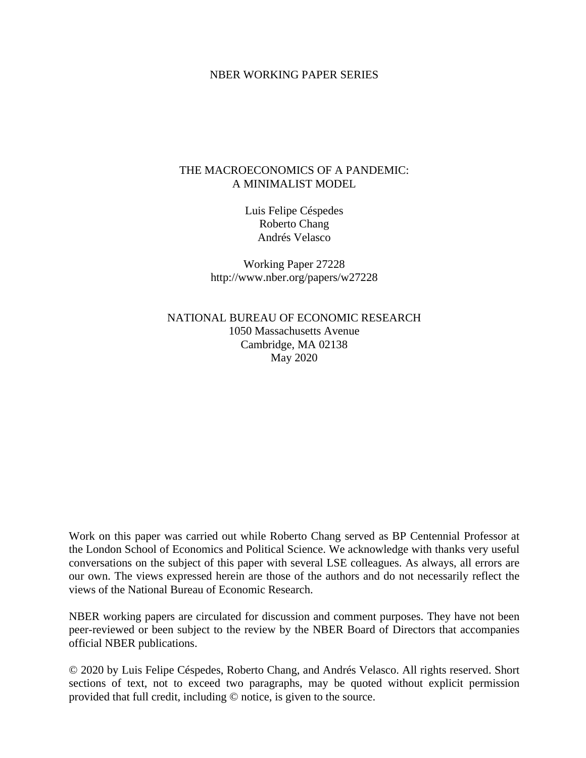#### NBER WORKING PAPER SERIES

## THE MACROECONOMICS OF A PANDEMIC: A MINIMALIST MODEL

Luis Felipe Céspedes Roberto Chang Andrés Velasco

Working Paper 27228 http://www.nber.org/papers/w27228

NATIONAL BUREAU OF ECONOMIC RESEARCH 1050 Massachusetts Avenue Cambridge, MA 02138 May 2020

Work on this paper was carried out while Roberto Chang served as BP Centennial Professor at the London School of Economics and Political Science. We acknowledge with thanks very useful conversations on the subject of this paper with several LSE colleagues. As always, all errors are our own. The views expressed herein are those of the authors and do not necessarily reflect the views of the National Bureau of Economic Research.

NBER working papers are circulated for discussion and comment purposes. They have not been peer-reviewed or been subject to the review by the NBER Board of Directors that accompanies official NBER publications.

© 2020 by Luis Felipe Céspedes, Roberto Chang, and Andrés Velasco. All rights reserved. Short sections of text, not to exceed two paragraphs, may be quoted without explicit permission provided that full credit, including © notice, is given to the source.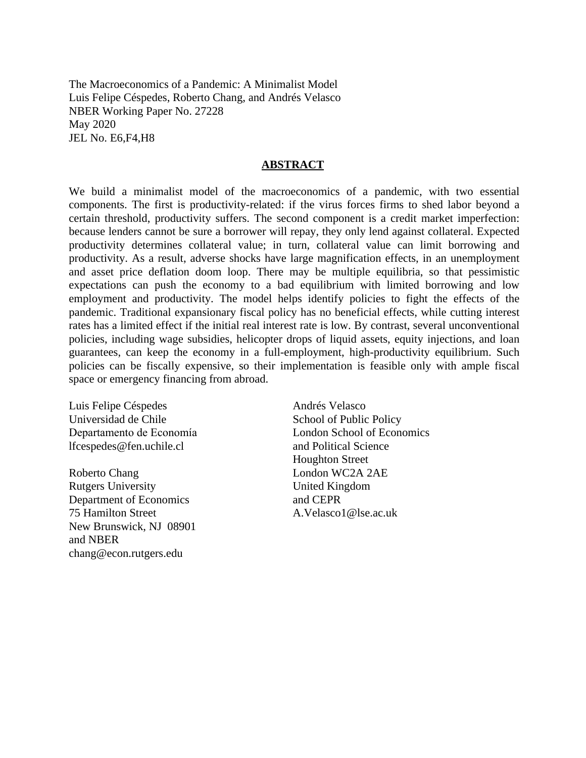The Macroeconomics of a Pandemic: A Minimalist Model Luis Felipe Céspedes, Roberto Chang, and Andrés Velasco NBER Working Paper No. 27228 May 2020 JEL No. E6,F4,H8

#### **ABSTRACT**

We build a minimalist model of the macroeconomics of a pandemic, with two essential components. The first is productivity-related: if the virus forces firms to shed labor beyond a certain threshold, productivity suffers. The second component is a credit market imperfection: because lenders cannot be sure a borrower will repay, they only lend against collateral. Expected productivity determines collateral value; in turn, collateral value can limit borrowing and productivity. As a result, adverse shocks have large magnification effects, in an unemployment and asset price deflation doom loop. There may be multiple equilibria, so that pessimistic expectations can push the economy to a bad equilibrium with limited borrowing and low employment and productivity. The model helps identify policies to fight the effects of the pandemic. Traditional expansionary fiscal policy has no beneficial effects, while cutting interest rates has a limited effect if the initial real interest rate is low. By contrast, several unconventional policies, including wage subsidies, helicopter drops of liquid assets, equity injections, and loan guarantees, can keep the economy in a full-employment, high-productivity equilibrium. Such policies can be fiscally expensive, so their implementation is feasible only with ample fiscal space or emergency financing from abroad.

Luis Felipe Céspedes Universidad de Chile Departamento de Economía lfcespedes@fen.uchile.cl

Roberto Chang Rutgers University Department of Economics 75 Hamilton Street New Brunswick, NJ 08901 and NBER chang@econ.rutgers.edu

Andrés Velasco School of Public Policy London School of Economics and Political Science Houghton Street London WC2A 2AE United Kingdom and CEPR A.Velasco1@lse.ac.uk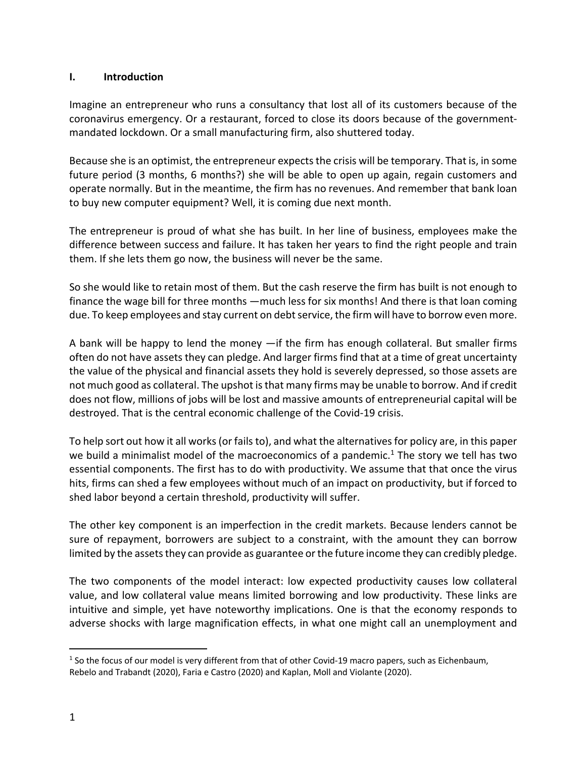## **I. Introduction**

Imagine an entrepreneur who runs a consultancy that lost all of its customers because of the coronavirus emergency. Or a restaurant, forced to close its doors because of the governmentmandated lockdown. Or a small manufacturing firm, also shuttered today.

Because she is an optimist, the entrepreneur expectsthe crisis will be temporary. That is, in some future period (3 months, 6 months?) she will be able to open up again, regain customers and operate normally. But in the meantime, the firm has no revenues. And remember that bank loan to buy new computer equipment? Well, it is coming due next month.

The entrepreneur is proud of what she has built. In her line of business, employees make the difference between success and failure. It has taken her years to find the right people and train them. If she lets them go now, the business will never be the same.

So she would like to retain most of them. But the cash reserve the firm has built is not enough to finance the wage bill for three months —much less for six months! And there is that loan coming due. To keep employees and stay current on debt service, the firm will have to borrow even more.

A bank will be happy to lend the money —if the firm has enough collateral. But smaller firms often do not have assets they can pledge. And larger firms find that at a time of great uncertainty the value of the physical and financial assets they hold is severely depressed, so those assets are not much good as collateral. The upshot is that many firms may be unable to borrow. And if credit does not flow, millions of jobs will be lost and massive amounts of entrepreneurial capital will be destroyed. That is the central economic challenge of the Covid-19 crisis.

To help sort out how it all works (or fails to), and what the alternatives for policy are, in this paper we build a minimalist model of the macroeconomics of a pandemic.<sup>1</sup> The story we tell has two essential components. The first has to do with productivity. We assume that that once the virus hits, firms can shed a few employees without much of an impact on productivity, but if forced to shed labor beyond a certain threshold, productivity will suffer.

The other key component is an imperfection in the credit markets. Because lenders cannot be sure of repayment, borrowers are subject to a constraint, with the amount they can borrow limited by the assets they can provide as guarantee or the future income they can credibly pledge.

The two components of the model interact: low expected productivity causes low collateral value, and low collateral value means limited borrowing and low productivity. These links are intuitive and simple, yet have noteworthy implications. One is that the economy responds to adverse shocks with large magnification effects, in what one might call an unemployment and

 $1$  So the focus of our model is very different from that of other Covid-19 macro papers, such as Eichenbaum, Rebelo and Trabandt (2020), Faria e Castro (2020) and Kaplan, Moll and Violante (2020).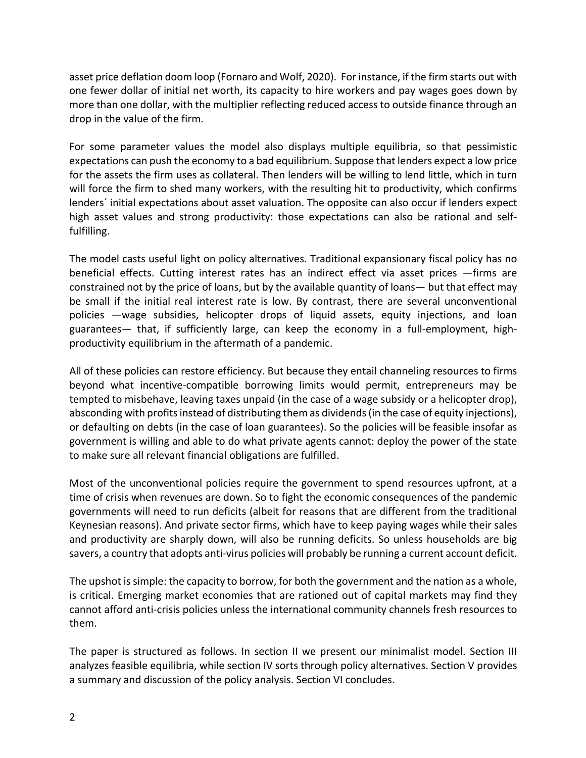asset price deflation doom loop (Fornaro and Wolf, 2020). For instance, if the firm starts out with one fewer dollar of initial net worth, its capacity to hire workers and pay wages goes down by more than one dollar, with the multiplier reflecting reduced access to outside finance through an drop in the value of the firm.

For some parameter values the model also displays multiple equilibria, so that pessimistic expectations can push the economy to a bad equilibrium. Suppose that lenders expect a low price for the assets the firm uses as collateral. Then lenders will be willing to lend little, which in turn will force the firm to shed many workers, with the resulting hit to productivity, which confirms lenders´ initial expectations about asset valuation. The opposite can also occur if lenders expect high asset values and strong productivity: those expectations can also be rational and selffulfilling.

The model casts useful light on policy alternatives. Traditional expansionary fiscal policy has no beneficial effects. Cutting interest rates has an indirect effect via asset prices —firms are constrained not by the price of loans, but by the available quantity of loans— but that effect may be small if the initial real interest rate is low. By contrast, there are several unconventional policies —wage subsidies, helicopter drops of liquid assets, equity injections, and loan guarantees— that, if sufficiently large, can keep the economy in a full-employment, highproductivity equilibrium in the aftermath of a pandemic.

All of these policies can restore efficiency. But because they entail channeling resources to firms beyond what incentive-compatible borrowing limits would permit, entrepreneurs may be tempted to misbehave, leaving taxes unpaid (in the case of a wage subsidy or a helicopter drop), absconding with profits instead of distributing them as dividends (in the case of equity injections), or defaulting on debts (in the case of loan guarantees). So the policies will be feasible insofar as government is willing and able to do what private agents cannot: deploy the power of the state to make sure all relevant financial obligations are fulfilled.

Most of the unconventional policies require the government to spend resources upfront, at a time of crisis when revenues are down. So to fight the economic consequences of the pandemic governments will need to run deficits (albeit for reasons that are different from the traditional Keynesian reasons). And private sector firms, which have to keep paying wages while their sales and productivity are sharply down, will also be running deficits. So unless households are big savers, a country that adopts anti-virus policies will probably be running a current account deficit.

The upshot is simple: the capacity to borrow, for both the government and the nation as a whole, is critical. Emerging market economies that are rationed out of capital markets may find they cannot afford anti-crisis policies unless the international community channels fresh resources to them.

The paper is structured as follows. In section II we present our minimalist model. Section III analyzes feasible equilibria, while section IV sorts through policy alternatives. Section V provides a summary and discussion of the policy analysis. Section VI concludes.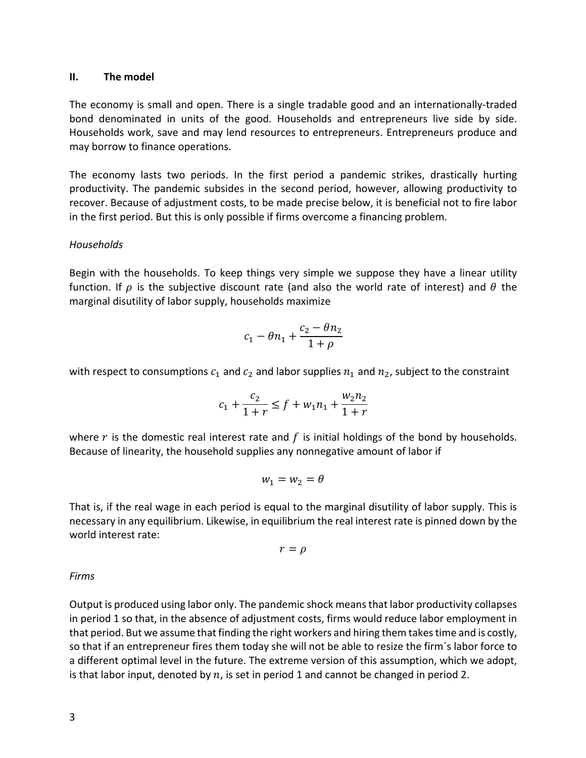#### **II. The model**

The economy is small and open. There is a single tradable good and an internationally-traded bond denominated in units of the good. Households and entrepreneurs live side by side. Households work, save and may lend resources to entrepreneurs. Entrepreneurs produce and may borrow to finance operations.

The economy lasts two periods. In the first period a pandemic strikes, drastically hurting productivity. The pandemic subsides in the second period, however, allowing productivity to recover. Because of adjustment costs, to be made precise below, it is beneficial not to fire labor in the first period. But this is only possible if firms overcome a financing problem.

## *Households*

Begin with the households. To keep things very simple we suppose they have a linear utility function. If  $\rho$  is the subjective discount rate (and also the world rate of interest) and  $\theta$  the marginal disutility of labor supply, households maximize

$$
c_1 - \theta n_1 + \frac{c_2 - \theta n_2}{1 + \rho}
$$

with respect to consumptions  $c_1$  and  $c_2$  and labor supplies  $n_1$  and  $n_2$ , subject to the constraint

$$
c_1 + \frac{c_2}{1+r} \le f + w_1 n_1 + \frac{w_2 n_2}{1+r}
$$

where  $r$  is the domestic real interest rate and  $f$  is initial holdings of the bond by households. Because of linearity, the household supplies any nonnegative amount of labor if

$$
w_1=w_2=\theta
$$

That is, if the real wage in each period is equal to the marginal disutility of labor supply. This is necessary in any equilibrium. Likewise, in equilibrium the real interest rate is pinned down by the world interest rate:

$$
r=\rho
$$

## *Firms*

Output is produced using labor only. The pandemic shock means that labor productivity collapses in period 1 so that, in the absence of adjustment costs, firms would reduce labor employment in that period. But we assume that finding the right workers and hiring them takes time and is costly, so that if an entrepreneur fires them today she will not be able to resize the firm´s labor force to a different optimal level in the future. The extreme version of this assumption, which we adopt, is that labor input, denoted by  $n$ , is set in period 1 and cannot be changed in period 2.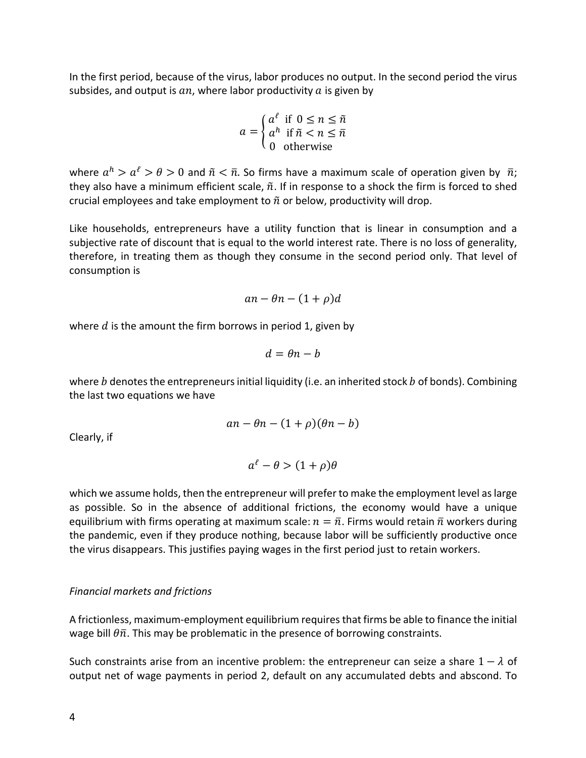In the first period, because of the virus, labor produces no output. In the second period the virus subsides, and output is  $an$ , where labor productivity  $a$  is given by

$$
a = \begin{cases} a^{\ell} & \text{if } 0 \le n \le \tilde{n} \\ a^h & \text{if } \tilde{n} < n \le \bar{n} \\ 0 & \text{otherwise} \end{cases}
$$

where  $a^h > a^e > \theta > 0$  and  $\tilde{n} < \bar{n}$ . So firms have a maximum scale of operation given by  $\bar{n}$ ; they also have a minimum efficient scale,  $\tilde{n}$ . If in response to a shock the firm is forced to shed crucial employees and take employment to  $\tilde{n}$  or below, productivity will drop.

Like households, entrepreneurs have a utility function that is linear in consumption and a subjective rate of discount that is equal to the world interest rate. There is no loss of generality, therefore, in treating them as though they consume in the second period only. That level of consumption is

 $an - \theta n - (1 + \rho)d$ 

where  $d$  is the amount the firm borrows in period 1, given by

$$
d = \theta n - b
$$

where  $b$  denotes the entrepreneurs initial liquidity (i.e. an inherited stock  $b$  of bonds). Combining the last two equations we have

$$
an - \theta n - (1 + \rho)(\theta n - b)
$$

Clearly, if

 $a^{\ell} - \theta > (1 + \rho)\theta$ 

which we assume holds, then the entrepreneur will prefer to make the employment level as large as possible. So in the absence of additional frictions, the economy would have a unique equilibrium with firms operating at maximum scale:  $n = \overline{n}$ . Firms would retain  $\overline{n}$  workers during the pandemic, even if they produce nothing, because labor will be sufficiently productive once the virus disappears. This justifies paying wages in the first period just to retain workers.

## *Financial markets and frictions*

A frictionless, maximum-employment equilibrium requires that firms be able to finance the initial wage bill  $\theta \bar{n}$ . This may be problematic in the presence of borrowing constraints.

Such constraints arise from an incentive problem: the entrepreneur can seize a share  $1 - \lambda$  of output net of wage payments in period 2, default on any accumulated debts and abscond. To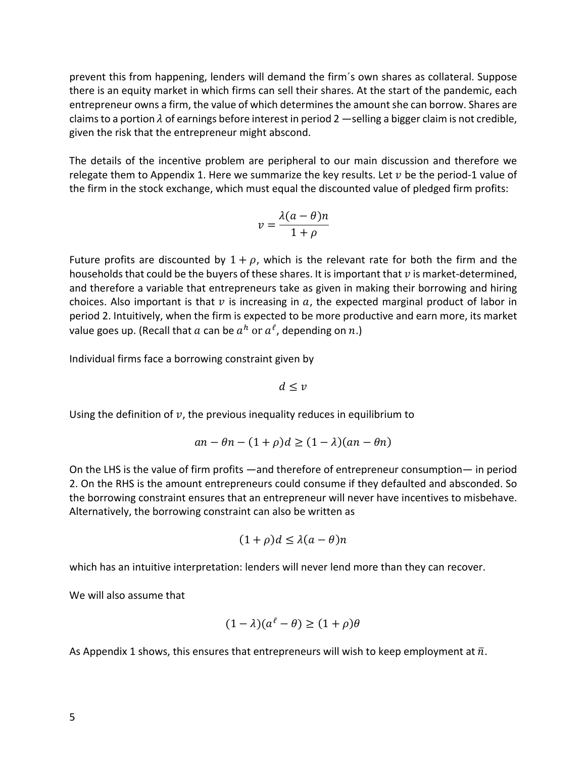prevent this from happening, lenders will demand the firm´s own shares as collateral. Suppose there is an equity market in which firms can sell their shares. At the start of the pandemic, each entrepreneur owns a firm, the value of which determines the amount she can borrow. Shares are claims to a portion  $\lambda$  of earnings before interest in period 2 —selling a bigger claim is not credible, given the risk that the entrepreneur might abscond.

The details of the incentive problem are peripheral to our main discussion and therefore we relegate them to Appendix 1. Here we summarize the key results. Let  $v$  be the period-1 value of the firm in the stock exchange, which must equal the discounted value of pledged firm profits:

$$
v = \frac{\lambda(a-\theta)n}{1+\rho}
$$

Future profits are discounted by  $1 + \rho$ , which is the relevant rate for both the firm and the households that could be the buyers of these shares. It is important that  $v$  is market-determined, and therefore a variable that entrepreneurs take as given in making their borrowing and hiring choices. Also important is that  $\nu$  is increasing in  $a$ , the expected marginal product of labor in period 2. Intuitively, when the firm is expected to be more productive and earn more, its market value goes up. (Recall that a can be  $a^h$  or  $a^l$ , depending on n.)

Individual firms face a borrowing constraint given by

 $d \leq v$ 

Using the definition of  $v$ , the previous inequality reduces in equilibrium to

$$
an - \theta n - (1 + \rho)d \ge (1 - \lambda)(an - \theta n)
$$

On the LHS is the value of firm profits —and therefore of entrepreneur consumption— in period 2. On the RHS is the amount entrepreneurs could consume if they defaulted and absconded. So the borrowing constraint ensures that an entrepreneur will never have incentives to misbehave. Alternatively, the borrowing constraint can also be written as

$$
(1+\rho)d \le \lambda(a-\theta)n
$$

which has an intuitive interpretation: lenders will never lend more than they can recover.

We will also assume that

$$
(1 - \lambda)(a^{\ell} - \theta) \ge (1 + \rho)\theta
$$

As Appendix 1 shows, this ensures that entrepreneurs will wish to keep employment at  $\bar{n}$ .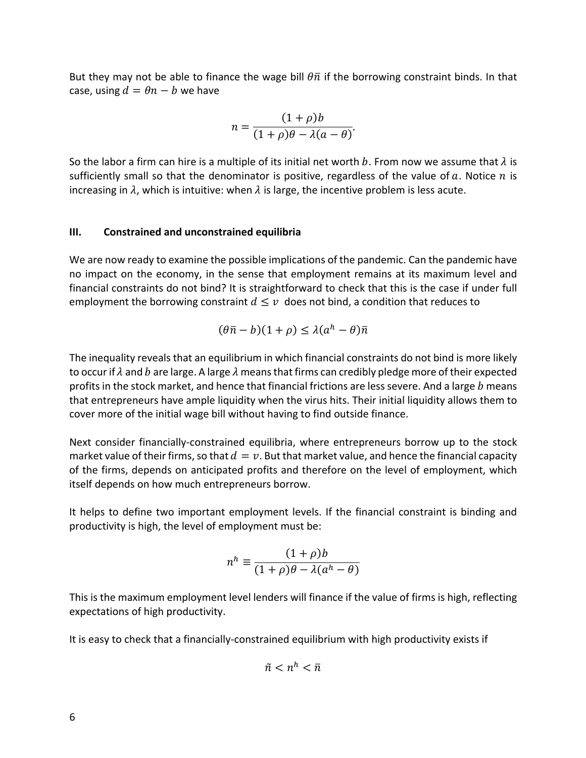But they may not be able to finance the wage bill  $\theta \bar{n}$  if the borrowing constraint binds. In that case, using  $d = \theta n - b$  we have

$$
n = \frac{(1+\rho)b}{(1+\rho)\theta - \lambda(a-\theta)}.
$$

So the labor a firm can hire is a multiple of its initial net worth b. From now we assume that  $\lambda$  is sufficiently small so that the denominator is positive, regardless of the value of a. Notice  $n$  is increasing in  $\lambda$ , which is intuitive: when  $\lambda$  is large, the incentive problem is less acute.

## **III. Constrained and unconstrained equilibria**

We are now ready to examine the possible implications of the pandemic. Can the pandemic have no impact on the economy, in the sense that employment remains at its maximum level and financial constraints do not bind? It is straightforward to check that this is the case if under full employment the borrowing constraint  $d \leq v$  does not bind, a condition that reduces to

$$
(\theta \bar{n} - b)(1 + \rho) \le \lambda (a^h - \theta) \bar{n}
$$

The inequality reveals that an equilibrium in which financial constraints do not bind is more likely to occur if  $\lambda$  and b are large. A large  $\lambda$  means that firms can credibly pledge more of their expected profits in the stock market, and hence that financial frictions are less severe. And a large  $b$  means that entrepreneurs have ample liquidity when the virus hits. Their initial liquidity allows them to cover more of the initial wage bill without having to find outside finance.

Next consider financially-constrained equilibria, where entrepreneurs borrow up to the stock market value of their firms, so that  $d = v$ . But that market value, and hence the financial capacity of the firms, depends on anticipated profits and therefore on the level of employment, which itself depends on how much entrepreneurs borrow.

It helps to define two important employment levels. If the financial constraint is binding and productivity is high, the level of employment must be:

$$
n^{h} \equiv \frac{(1+\rho)b}{(1+\rho)\theta - \lambda(a^{h} - \theta)}
$$

This is the maximum employment level lenders will finance if the value of firms is high, reflecting expectations of high productivity.

It is easy to check that a financially-constrained equilibrium with high productivity exists if

$$
\tilde{n} < n^h < \bar{n}
$$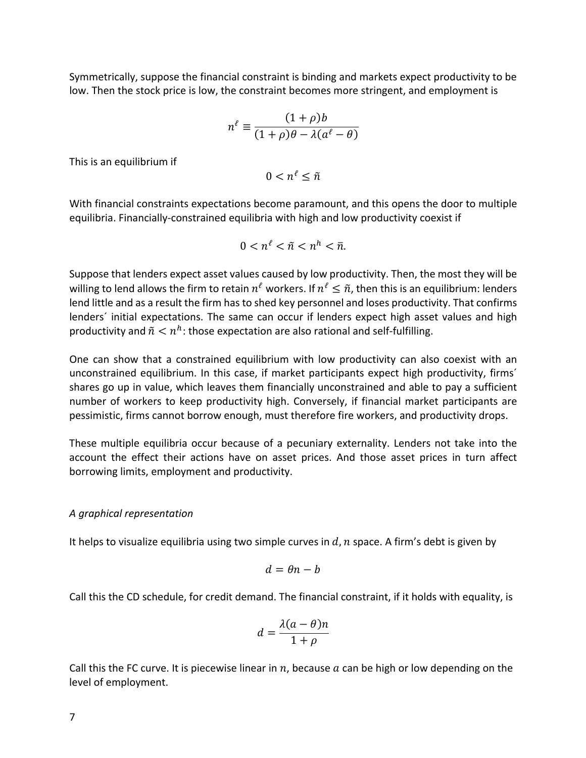Symmetrically, suppose the financial constraint is binding and markets expect productivity to be low. Then the stock price is low, the constraint becomes more stringent, and employment is

$$
n^{\ell} \equiv \frac{(1+\rho)b}{(1+\rho)\theta - \lambda(a^{\ell} - \theta)}
$$

This is an equilibrium if

 $0 < n^{\ell} < \tilde{n}$ 

With financial constraints expectations become paramount, and this opens the door to multiple equilibria. Financially-constrained equilibria with high and low productivity coexist if

$$
0 < n^{\ell} < \tilde{n} < n^h < \bar{n}.
$$

Suppose that lenders expect asset values caused by low productivity. Then, the most they will be willing to lend allows the firm to retain  $n^l$  workers. If  $n^l \leq \tilde{n}$ , then this is an equilibrium: lenders lend little and as a result the firm has to shed key personnel and loses productivity. That confirms lenders´ initial expectations. The same can occur if lenders expect high asset values and high productivity and  $\tilde{n} < n^h$ : those expectation are also rational and self-fulfilling.

One can show that a constrained equilibrium with low productivity can also coexist with an unconstrained equilibrium. In this case, if market participants expect high productivity, firms´ shares go up in value, which leaves them financially unconstrained and able to pay a sufficient number of workers to keep productivity high. Conversely, if financial market participants are pessimistic, firms cannot borrow enough, must therefore fire workers, and productivity drops.

These multiple equilibria occur because of a pecuniary externality. Lenders not take into the account the effect their actions have on asset prices. And those asset prices in turn affect borrowing limits, employment and productivity.

#### *A graphical representation*

It helps to visualize equilibria using two simple curves in  $d$ ,  $n$  space. A firm's debt is given by

$$
d=\theta n-b
$$

Call this the CD schedule, for credit demand. The financial constraint, if it holds with equality, is

$$
d = \frac{\lambda(a-\theta)n}{1+\rho}
$$

Call this the FC curve. It is piecewise linear in  $n$ , because  $a$  can be high or low depending on the level of employment.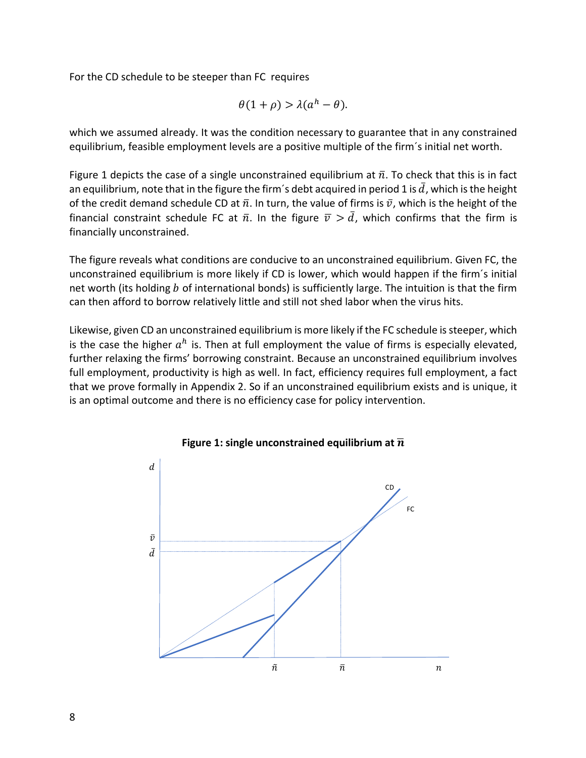For the CD schedule to be steeper than FC requires

$$
\theta(1+\rho) > \lambda(a^h - \theta).
$$

which we assumed already. It was the condition necessary to guarantee that in any constrained equilibrium, feasible employment levels are a positive multiple of the firm´s initial net worth.

Figure 1 depicts the case of a single unconstrained equilibrium at  $\bar{n}$ . To check that this is in fact an equilibrium, note that in the figure the firm's debt acquired in period 1 is  $\bar{d}$ , which is the height of the credit demand schedule CD at  $\bar{n}$ . In turn, the value of firms is  $\bar{v}$ , which is the height of the financial constraint schedule FC at  $\bar{n}$ . In the figure  $\bar{v} > \bar{d}$ , which confirms that the firm is financially unconstrained.

The figure reveals what conditions are conducive to an unconstrained equilibrium. Given FC, the unconstrained equilibrium is more likely if CD is lower, which would happen if the firm´s initial net worth (its holding  $b$  of international bonds) is sufficiently large. The intuition is that the firm can then afford to borrow relatively little and still not shed labor when the virus hits.

Likewise, given CD an unconstrained equilibrium is more likely if the FC schedule is steeper, which is the case the higher  $a^h$  is. Then at full employment the value of firms is especially elevated, further relaxing the firms' borrowing constraint. Because an unconstrained equilibrium involves full employment, productivity is high as well. In fact, efficiency requires full employment, a fact that we prove formally in Appendix 2. So if an unconstrained equilibrium exists and is unique, it is an optimal outcome and there is no efficiency case for policy intervention.



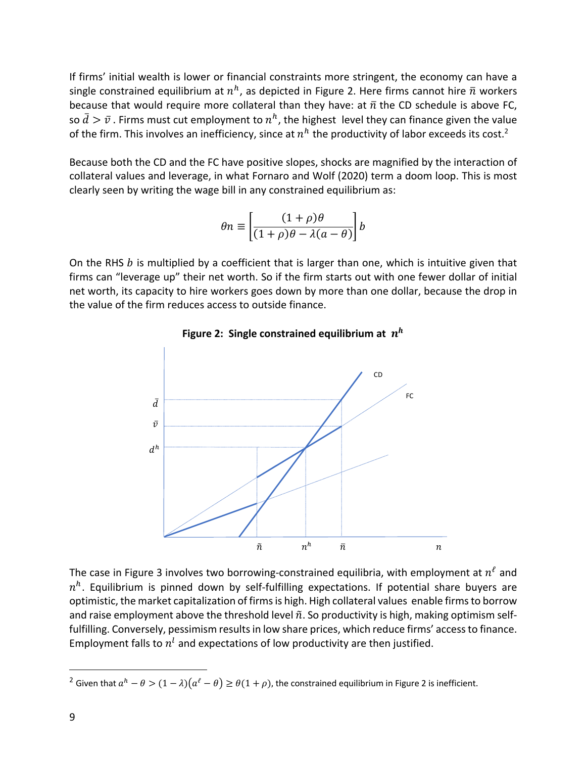If firms' initial wealth is lower or financial constraints more stringent, the economy can have a single constrained equilibrium at  $n^h$ , as depicted in Figure 2. Here firms cannot hire  $\bar{n}$  workers because that would require more collateral than they have: at  $\bar{n}$  the CD schedule is above FC, so  $\bar{d} > \bar{v}$ . Firms must cut employment to  $n^h$ , the highest level they can finance given the value of the firm. This involves an inefficiency, since at  $n^h$  the productivity of labor exceeds its cost.<sup>2</sup>

Because both the CD and the FC have positive slopes, shocks are magnified by the interaction of collateral values and leverage, in what Fornaro and Wolf (2020) term a doom loop. This is most clearly seen by writing the wage bill in any constrained equilibrium as:

$$
\theta n \equiv \left[ \frac{(1+\rho)\theta}{(1+\rho)\theta - \lambda(a-\theta)} \right] b
$$

On the RHS  $b$  is multiplied by a coefficient that is larger than one, which is intuitive given that firms can "leverage up" their net worth. So if the firm starts out with one fewer dollar of initial net worth, its capacity to hire workers goes down by more than one dollar, because the drop in the value of the firm reduces access to outside finance.



# **Figure 2: Single constrained equilibrium at**

The case in Figure 3 involves two borrowing-constrained equilibria, with employment at  $n^{\ell}$  and  $n<sup>h</sup>$ . Equilibrium is pinned down by self-fulfilling expectations. If potential share buyers are optimistic, the market capitalization of firms is high. High collateral values enable firms to borrow and raise employment above the threshold level  $\tilde{n}$ . So productivity is high, making optimism selffulfilling. Conversely, pessimism results in low share prices, which reduce firms' access to finance. Employment falls to  $n<sup>l</sup>$  and expectations of low productivity are then justified.

<sup>&</sup>lt;sup>2</sup> Given that  $a^h - \theta > (1 - \lambda)(a^{\ell} - \theta) \ge \theta(1 + \rho)$ , the constrained equilibrium in Figure 2 is inefficient.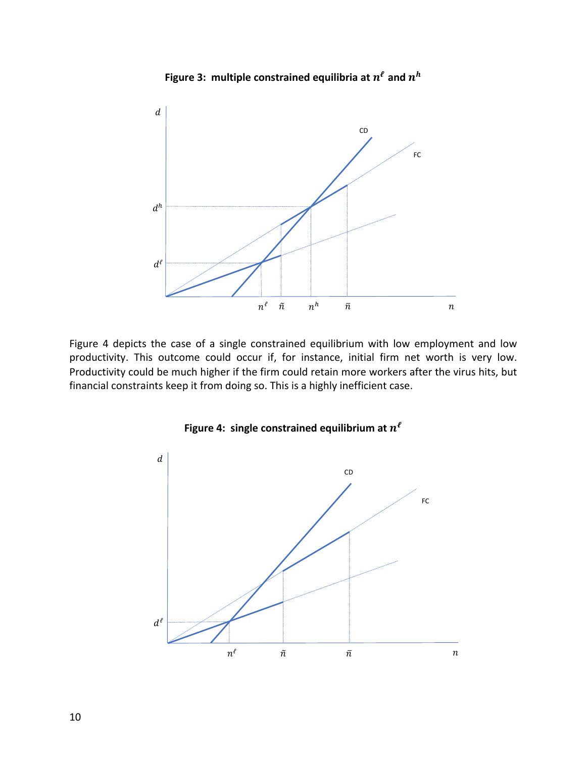

**Figure 3: multiple constrained equilibria at**  $n^{\ell}$  **and**  $n^h$ 

Figure 4 depicts the case of a single constrained equilibrium with low employment and low productivity. This outcome could occur if, for instance, initial firm net worth is very low. Productivity could be much higher if the firm could retain more workers after the virus hits, but financial constraints keep it from doing so. This is a highly inefficient case.



**Figure 4: single constrained equilibrium at**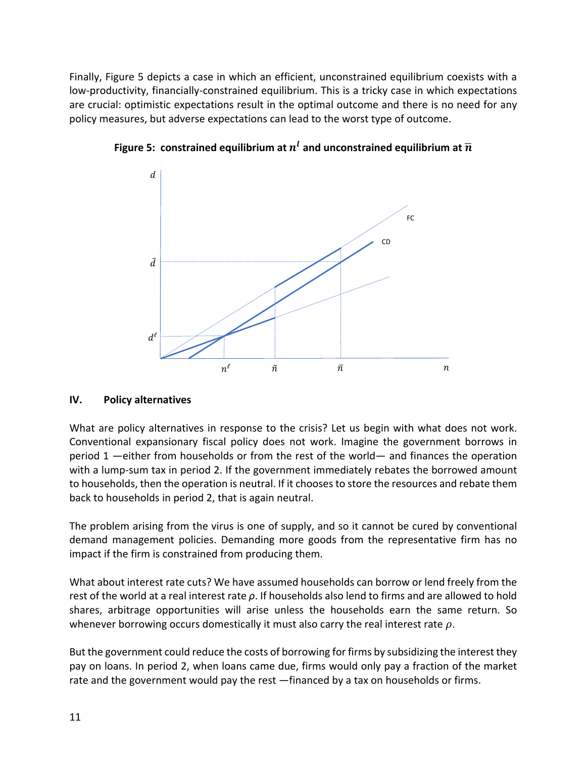Finally, Figure 5 depicts a case in which an efficient, unconstrained equilibrium coexists with a low-productivity, financially-constrained equilibrium. This is a tricky case in which expectations are crucial: optimistic expectations result in the optimal outcome and there is no need for any policy measures, but adverse expectations can lead to the worst type of outcome.



**Figure 5: constrained equilibrium at**  $n^l$  **and unconstrained equilibrium at**  $\overline{n}$ 

# **IV. Policy alternatives**

What are policy alternatives in response to the crisis? Let us begin with what does not work. Conventional expansionary fiscal policy does not work. Imagine the government borrows in period 1 —either from households or from the rest of the world— and finances the operation with a lump-sum tax in period 2. If the government immediately rebates the borrowed amount to households, then the operation is neutral. If it chooses to store the resources and rebate them back to households in period 2, that is again neutral.

The problem arising from the virus is one of supply, and so it cannot be cured by conventional demand management policies. Demanding more goods from the representative firm has no impact if the firm is constrained from producing them.

What about interest rate cuts? We have assumed households can borrow or lend freely from the rest of the world at a real interest rate *ρ*. If households also lend to firms and are allowed to hold shares, arbitrage opportunities will arise unless the households earn the same return. So whenever borrowing occurs domestically it must also carry the real interest rate  $\rho$ .

But the government could reduce the costs of borrowing for firms by subsidizing the interest they pay on loans. In period 2, when loans came due, firms would only pay a fraction of the market rate and the government would pay the rest —financed by a tax on households or firms.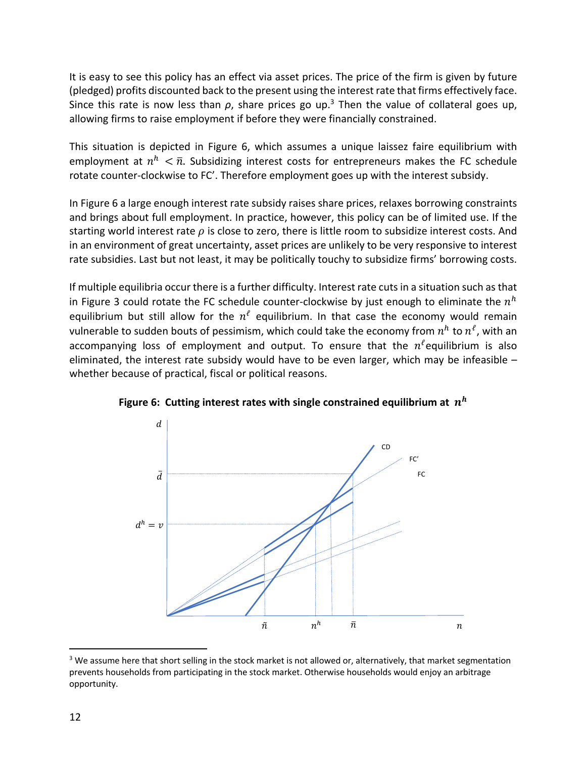It is easy to see this policy has an effect via asset prices. The price of the firm is given by future (pledged) profits discounted back to the present using the interest rate that firms effectively face. Since this rate is now less than  $\rho$ , share prices go up.<sup>3</sup> Then the value of collateral goes up, allowing firms to raise employment if before they were financially constrained.

This situation is depicted in Figure 6, which assumes a unique laissez faire equilibrium with employment at  $n^h < \bar{n}$ . Subsidizing interest costs for entrepreneurs makes the FC schedule rotate counter-clockwise to FC'. Therefore employment goes up with the interest subsidy.

In Figure 6 a large enough interest rate subsidy raises share prices, relaxes borrowing constraints and brings about full employment. In practice, however, this policy can be of limited use. If the starting world interest rate  $\rho$  is close to zero, there is little room to subsidize interest costs. And in an environment of great uncertainty, asset prices are unlikely to be very responsive to interest rate subsidies. Last but not least, it may be politically touchy to subsidize firms' borrowing costs.

If multiple equilibria occur there is a further difficulty. Interest rate cuts in a situation such as that in Figure 3 could rotate the FC schedule counter-clockwise by just enough to eliminate the  $n^h$ equilibrium but still allow for the  $n^l$  equilibrium. In that case the economy would remain vulnerable to sudden bouts of pessimism, which could take the economy from  $n^h$  to  $n^{\ell}$ , with an accompanying loss of employment and output. To ensure that the  $n^{\ell}$ equilibrium is also eliminated, the interest rate subsidy would have to be even larger, which may be infeasible – whether because of practical, fiscal or political reasons.



**Figure 6: Cutting interest rates with single constrained equilibrium at** 

<sup>&</sup>lt;sup>3</sup> We assume here that short selling in the stock market is not allowed or, alternatively, that market segmentation prevents households from participating in the stock market. Otherwise households would enjoy an arbitrage opportunity.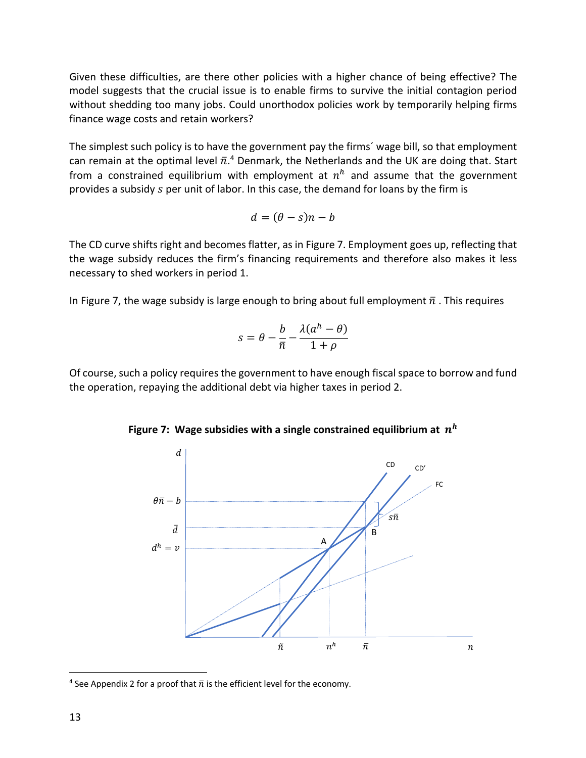Given these difficulties, are there other policies with a higher chance of being effective? The model suggests that the crucial issue is to enable firms to survive the initial contagion period without shedding too many jobs. Could unorthodox policies work by temporarily helping firms finance wage costs and retain workers?

The simplest such policy is to have the government pay the firms´ wage bill, so that employment can remain at the optimal level  $\bar{n}.^4$  Denmark, the Netherlands and the UK are doing that. Start from a constrained equilibrium with employment at  $n^h$  and assume that the government provides a subsidy s per unit of labor. In this case, the demand for loans by the firm is

$$
d = (\theta - s)n - b
$$

The CD curve shifts right and becomes flatter, as in Figure 7. Employment goes up, reflecting that the wage subsidy reduces the firm's financing requirements and therefore also makes it less necessary to shed workers in period 1.

In Figure 7, the wage subsidy is large enough to bring about full employment  $\bar{n}$ . This requires

$$
s = \theta - \frac{b}{\bar{n}} - \frac{\lambda(a^h - \theta)}{1 + \rho}
$$

Of course, such a policy requires the government to have enough fiscal space to borrow and fund the operation, repaying the additional debt via higher taxes in period 2.



**Figure 7: Wage subsidies with a single constrained equilibrium at**  $n<sup>h</sup>$ 

<sup>&</sup>lt;sup>4</sup> See Appendix 2 for a proof that  $\bar{n}$  is the efficient level for the economy.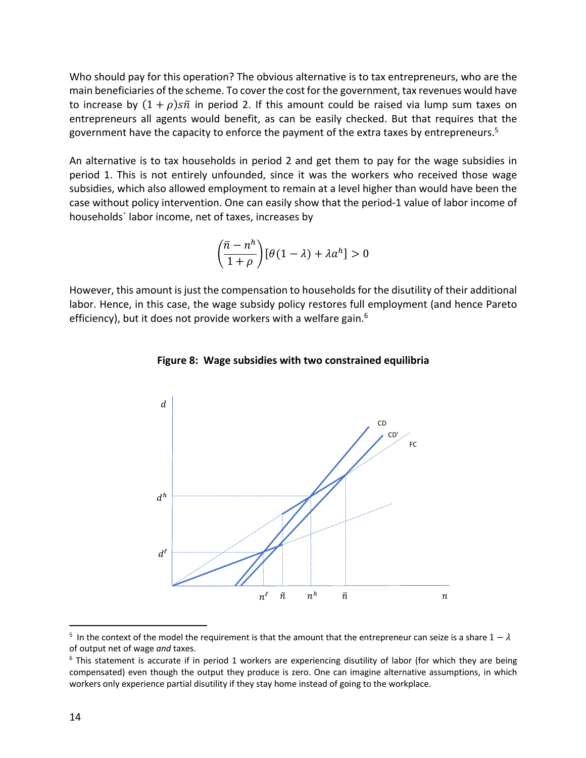Who should pay for this operation? The obvious alternative is to tax entrepreneurs, who are the main beneficiaries of the scheme. To cover the cost for the government, tax revenues would have to increase by  $(1 + \rho)s\overline{n}$  in period 2. If this amount could be raised via lump sum taxes on entrepreneurs all agents would benefit, as can be easily checked. But that requires that the government have the capacity to enforce the payment of the extra taxes by entrepreneurs.<sup>5</sup>

An alternative is to tax households in period 2 and get them to pay for the wage subsidies in period 1. This is not entirely unfounded, since it was the workers who received those wage subsidies, which also allowed employment to remain at a level higher than would have been the case without policy intervention. One can easily show that the period-1 value of labor income of households´ labor income, net of taxes, increases by

$$
\left(\frac{\bar{n}-n^h}{1+\rho}\right)[\theta(1-\lambda)+\lambda a^h]>0
$$

However, this amount is just the compensation to households for the disutility of their additional labor. Hence, in this case, the wage subsidy policy restores full employment (and hence Pareto efficiency), but it does not provide workers with a welfare gain.<sup>6</sup>



#### **Figure 8: Wage subsidies with two constrained equilibria**

<sup>&</sup>lt;sup>5</sup> In the context of the model the requirement is that the amount that the entrepreneur can seize is a share  $1 - \lambda$ of output net of wage *and* taxes.<br><sup>6</sup> This statement is accurate if in period 1 workers are experiencing disutility of labor (for which they are being

compensated) even though the output they produce is zero. One can imagine alternative assumptions, in which workers only experience partial disutility if they stay home instead of going to the workplace.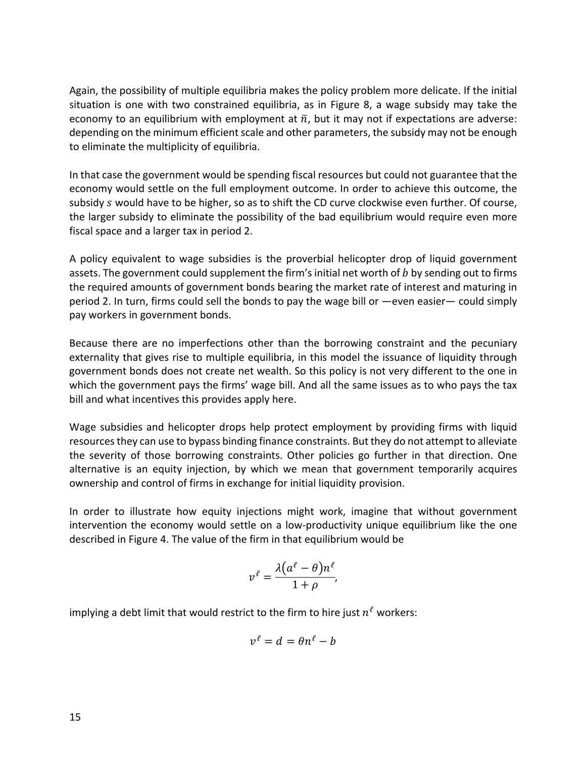Again, the possibility of multiple equilibria makes the policy problem more delicate. If the initial situation is one with two constrained equilibria, as in Figure 8, a wage subsidy may take the economy to an equilibrium with employment at  $\bar{n}$ , but it may not if expectations are adverse: depending on the minimum efficient scale and other parameters, the subsidy may not be enough to eliminate the multiplicity of equilibria.

In that case the government would be spending fiscal resources but could not guarantee that the economy would settle on the full employment outcome. In order to achieve this outcome, the subsidy s would have to be higher, so as to shift the CD curve clockwise even further. Of course, the larger subsidy to eliminate the possibility of the bad equilibrium would require even more fiscal space and a larger tax in period 2.

A policy equivalent to wage subsidies is the proverbial helicopter drop of liquid government assets. The government could supplement the firm's initial net worth of  $b$  by sending out to firms the required amounts of government bonds bearing the market rate of interest and maturing in period 2. In turn, firms could sell the bonds to pay the wage bill or —even easier— could simply pay workers in government bonds.

Because there are no imperfections other than the borrowing constraint and the pecuniary externality that gives rise to multiple equilibria, in this model the issuance of liquidity through government bonds does not create net wealth. So this policy is not very different to the one in which the government pays the firms' wage bill. And all the same issues as to who pays the tax bill and what incentives this provides apply here.

Wage subsidies and helicopter drops help protect employment by providing firms with liquid resources they can use to bypass binding finance constraints. But they do not attempt to alleviate the severity of those borrowing constraints. Other policies go further in that direction. One alternative is an equity injection, by which we mean that government temporarily acquires ownership and control of firms in exchange for initial liquidity provision.

In order to illustrate how equity injections might work, imagine that without government intervention the economy would settle on a low-productivity unique equilibrium like the one described in Figure 4. The value of the firm in that equilibrium would be

$$
v^{\ell} = \frac{\lambda(a^{\ell} - \theta)n^{\ell}}{1 + \rho},
$$

implying a debt limit that would restrict to the firm to hire just  $n^{\ell}$  workers:

$$
v^{\ell} = d = \theta n^{\ell} - b
$$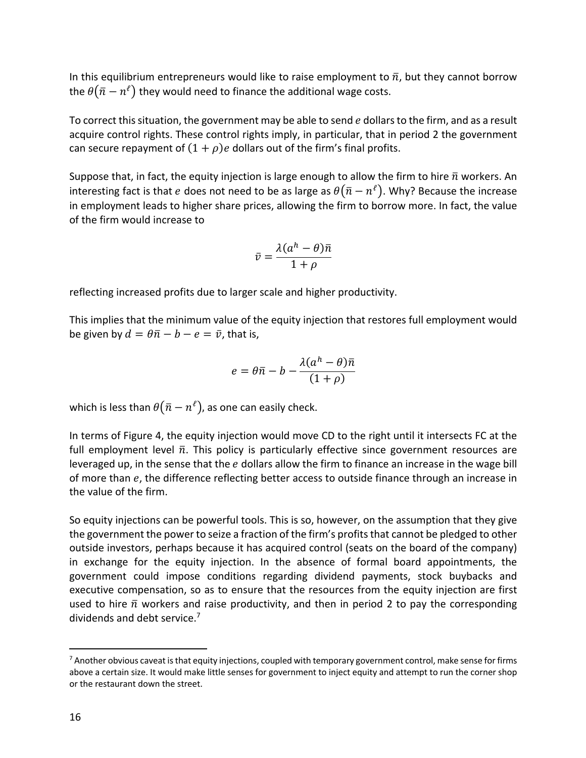In this equilibrium entrepreneurs would like to raise employment to  $\bar{n}$ , but they cannot borrow the  $\theta(\bar{n} - n^{\ell})$  they would need to finance the additional wage costs.

To correct this situation, the government may be able to send e dollars to the firm, and as a result acquire control rights. These control rights imply, in particular, that in period 2 the government can secure repayment of  $(1 + \rho)e$  dollars out of the firm's final profits.

Suppose that, in fact, the equity injection is large enough to allow the firm to hire  $\bar{n}$  workers. An interesting fact is that e does not need to be as large as  $\theta(\bar{n}-n^{\ell})$ . Why? Because the increase in employment leads to higher share prices, allowing the firm to borrow more. In fact, the value of the firm would increase to

$$
\bar{v} = \frac{\lambda(a^h - \theta)\bar{n}}{1 + \rho}
$$

reflecting increased profits due to larger scale and higher productivity.

This implies that the minimum value of the equity injection that restores full employment would be given by  $d = \theta \bar{n} - b - e = \bar{v}$ , that is,

$$
e = \theta \overline{n} - b - \frac{\lambda (a^h - \theta) \overline{n}}{(1 + \rho)}
$$

which is less than  $\theta(\bar{n} - n^{\ell})$ , as one can easily check.

In terms of Figure 4, the equity injection would move CD to the right until it intersects FC at the full employment level  $\bar{n}$ . This policy is particularly effective since government resources are leveraged up, in the sense that the  $e$  dollars allow the firm to finance an increase in the wage bill of more than  $e$ , the difference reflecting better access to outside finance through an increase in the value of the firm.

So equity injections can be powerful tools. This is so, however, on the assumption that they give the government the power to seize a fraction of the firm's profits that cannot be pledged to other outside investors, perhaps because it has acquired control (seats on the board of the company) in exchange for the equity injection. In the absence of formal board appointments, the government could impose conditions regarding dividend payments, stock buybacks and executive compensation, so as to ensure that the resources from the equity injection are first used to hire  $\bar{n}$  workers and raise productivity, and then in period 2 to pay the corresponding dividends and debt service.<sup>7</sup>

 $<sup>7</sup>$  Another obvious caveat is that equity injections, coupled with temporary government control, make sense for firms</sup> above a certain size. It would make little senses for government to inject equity and attempt to run the corner shop or the restaurant down the street.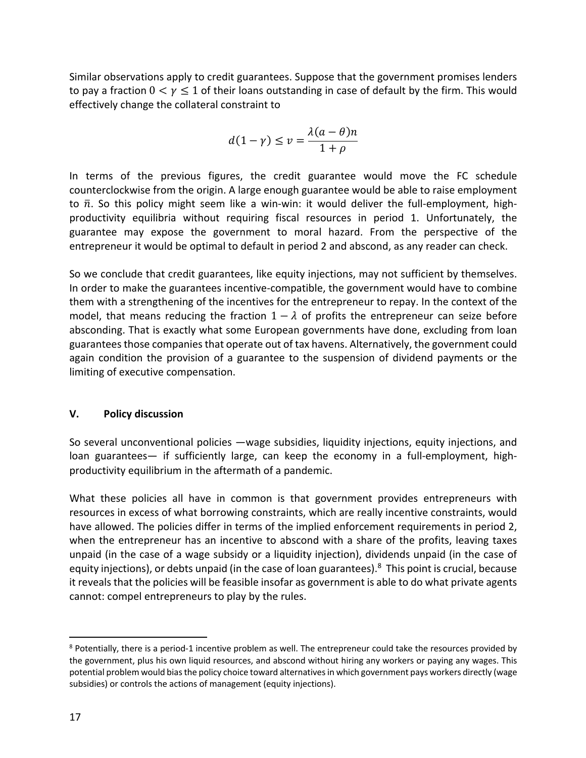Similar observations apply to credit guarantees. Suppose that the government promises lenders to pay a fraction  $0 < y \le 1$  of their loans outstanding in case of default by the firm. This would effectively change the collateral constraint to

$$
d(1-\gamma) \le v = \frac{\lambda(a-\theta)n}{1+\rho}
$$

In terms of the previous figures, the credit guarantee would move the FC schedule counterclockwise from the origin. A large enough guarantee would be able to raise employment to  $\bar{n}$ . So this policy might seem like a win-win: it would deliver the full-employment, highproductivity equilibria without requiring fiscal resources in period 1. Unfortunately, the guarantee may expose the government to moral hazard. From the perspective of the entrepreneur it would be optimal to default in period 2 and abscond, as any reader can check.

So we conclude that credit guarantees, like equity injections, may not sufficient by themselves. In order to make the guarantees incentive-compatible, the government would have to combine them with a strengthening of the incentives for the entrepreneur to repay. In the context of the model, that means reducing the fraction  $1 - \lambda$  of profits the entrepreneur can seize before absconding. That is exactly what some European governments have done, excluding from loan guarantees those companies that operate out of tax havens. Alternatively, the government could again condition the provision of a guarantee to the suspension of dividend payments or the limiting of executive compensation.

## **V. Policy discussion**

So several unconventional policies —wage subsidies, liquidity injections, equity injections, and loan guarantees— if sufficiently large, can keep the economy in a full-employment, highproductivity equilibrium in the aftermath of a pandemic.

What these policies all have in common is that government provides entrepreneurs with resources in excess of what borrowing constraints, which are really incentive constraints, would have allowed. The policies differ in terms of the implied enforcement requirements in period 2, when the entrepreneur has an incentive to abscond with a share of the profits, leaving taxes unpaid (in the case of a wage subsidy or a liquidity injection), dividends unpaid (in the case of equity injections), or debts unpaid (in the case of loan guarantees).<sup>8</sup> This point is crucial, because it reveals that the policies will be feasible insofar as government is able to do what private agents cannot: compel entrepreneurs to play by the rules.

<sup>&</sup>lt;sup>8</sup> Potentially, there is a period-1 incentive problem as well. The entrepreneur could take the resources provided by the government, plus his own liquid resources, and abscond without hiring any workers or paying any wages. This potential problem would bias the policy choice toward alternatives in which government pays workers directly (wage subsidies) or controls the actions of management (equity injections).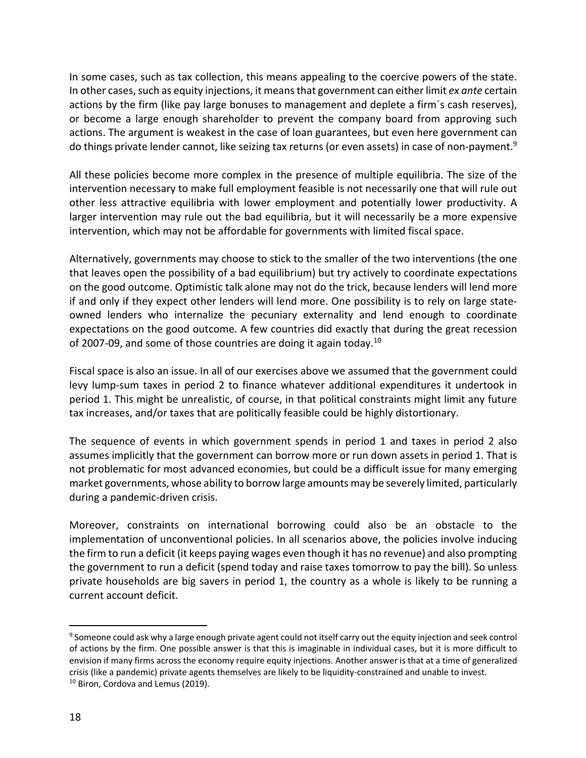In some cases, such as tax collection, this means appealing to the coercive powers of the state. In other cases, such as equity injections, it means that government can either limit *ex ante* certain actions by the firm (like pay large bonuses to management and deplete a firm´s cash reserves), or become a large enough shareholder to prevent the company board from approving such actions. The argument is weakest in the case of loan guarantees, but even here government can do things private lender cannot, like seizing tax returns (or even assets) in case of non-payment.<sup>9</sup>

All these policies become more complex in the presence of multiple equilibria. The size of the intervention necessary to make full employment feasible is not necessarily one that will rule out other less attractive equilibria with lower employment and potentially lower productivity. A larger intervention may rule out the bad equilibria, but it will necessarily be a more expensive intervention, which may not be affordable for governments with limited fiscal space.

Alternatively, governments may choose to stick to the smaller of the two interventions (the one that leaves open the possibility of a bad equilibrium) but try actively to coordinate expectations on the good outcome. Optimistic talk alone may not do the trick, because lenders will lend more if and only if they expect other lenders will lend more. One possibility is to rely on large stateowned lenders who internalize the pecuniary externality and lend enough to coordinate expectations on the good outcome. A few countries did exactly that during the great recession of 2007-09, and some of those countries are doing it again today.10

Fiscal space is also an issue. In all of our exercises above we assumed that the government could levy lump-sum taxes in period 2 to finance whatever additional expenditures it undertook in period 1. This might be unrealistic, of course, in that political constraints might limit any future tax increases, and/or taxes that are politically feasible could be highly distortionary.

The sequence of events in which government spends in period 1 and taxes in period 2 also assumes implicitly that the government can borrow more or run down assets in period 1. That is not problematic for most advanced economies, but could be a difficult issue for many emerging market governments, whose ability to borrow large amounts may be severely limited, particularly during a pandemic-driven crisis.

Moreover, constraints on international borrowing could also be an obstacle to the implementation of unconventional policies. In all scenarios above, the policies involve inducing the firm to run a deficit (it keeps paying wages even though it has no revenue) and also prompting the government to run a deficit (spend today and raise taxes tomorrow to pay the bill). So unless private households are big savers in period 1, the country as a whole is likely to be running a current account deficit.

<sup>9</sup> Someone could ask why a large enough private agent could not itself carry out the equity injection and seek control of actions by the firm. One possible answer is that this is imaginable in individual cases, but it is more difficult to envision if many firms across the economy require equity injections. Another answer is that at a time of generalized crisis (like a pandemic) private agents themselves are likely to be liquidity-constrained and unable to invest.<br><sup>10</sup> Biron, Cordova and Lemus (2019).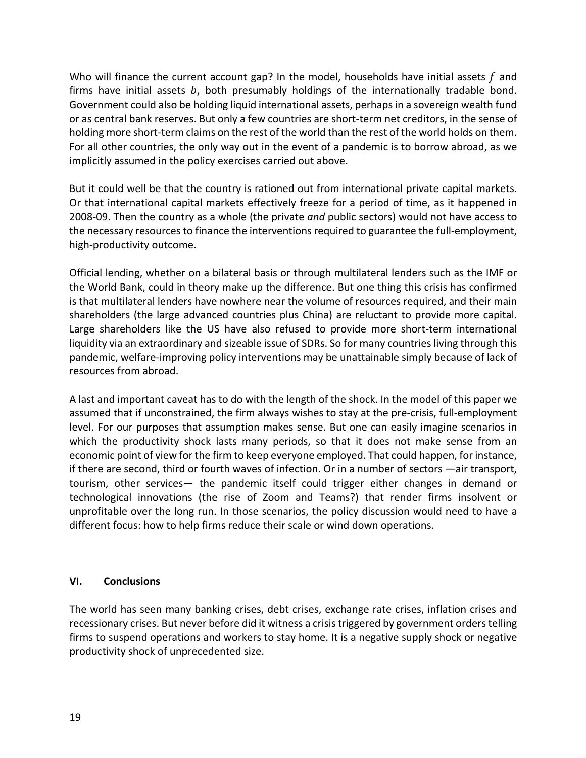Who will finance the current account gap? In the model, households have initial assets  $f$  and firms have initial assets  $b$ , both presumably holdings of the internationally tradable bond. Government could also be holding liquid international assets, perhaps in a sovereign wealth fund or as central bank reserves. But only a few countries are short-term net creditors, in the sense of holding more short-term claims on the rest of the world than the rest of the world holds on them. For all other countries, the only way out in the event of a pandemic is to borrow abroad, as we implicitly assumed in the policy exercises carried out above.

But it could well be that the country is rationed out from international private capital markets. Or that international capital markets effectively freeze for a period of time, as it happened in 2008-09. Then the country as a whole (the private *and* public sectors) would not have access to the necessary resources to finance the interventions required to guarantee the full-employment, high-productivity outcome.

Official lending, whether on a bilateral basis or through multilateral lenders such as the IMF or the World Bank, could in theory make up the difference. But one thing this crisis has confirmed is that multilateral lenders have nowhere near the volume of resources required, and their main shareholders (the large advanced countries plus China) are reluctant to provide more capital. Large shareholders like the US have also refused to provide more short-term international liquidity via an extraordinary and sizeable issue of SDRs. So for many countries living through this pandemic, welfare-improving policy interventions may be unattainable simply because of lack of resources from abroad.

A last and important caveat has to do with the length of the shock. In the model of this paper we assumed that if unconstrained, the firm always wishes to stay at the pre-crisis, full-employment level. For our purposes that assumption makes sense. But one can easily imagine scenarios in which the productivity shock lasts many periods, so that it does not make sense from an economic point of view for the firm to keep everyone employed. That could happen, for instance, if there are second, third or fourth waves of infection. Or in a number of sectors —air transport, tourism, other services— the pandemic itself could trigger either changes in demand or technological innovations (the rise of Zoom and Teams?) that render firms insolvent or unprofitable over the long run. In those scenarios, the policy discussion would need to have a different focus: how to help firms reduce their scale or wind down operations.

## **VI. Conclusions**

The world has seen many banking crises, debt crises, exchange rate crises, inflation crises and recessionary crises. But never before did it witness a crisis triggered by government orders telling firms to suspend operations and workers to stay home. It is a negative supply shock or negative productivity shock of unprecedented size.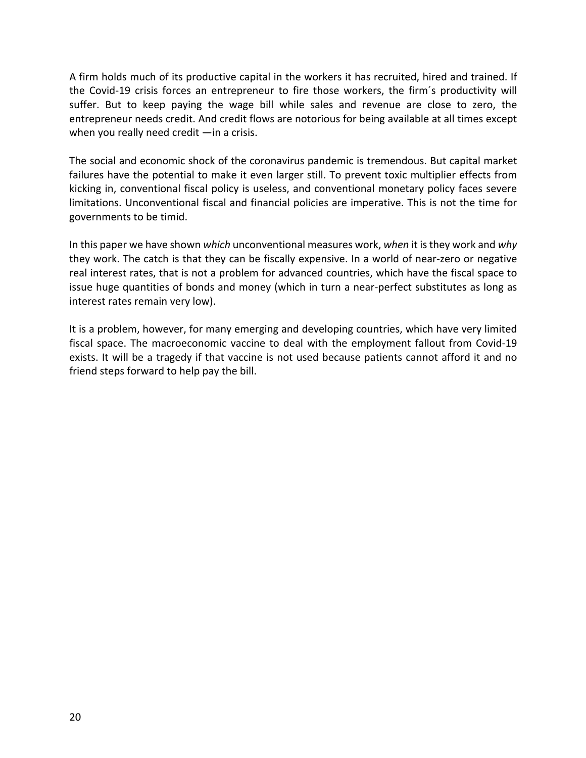A firm holds much of its productive capital in the workers it has recruited, hired and trained. If the Covid-19 crisis forces an entrepreneur to fire those workers, the firm´s productivity will suffer. But to keep paying the wage bill while sales and revenue are close to zero, the entrepreneur needs credit. And credit flows are notorious for being available at all times except when you really need credit —in a crisis.

The social and economic shock of the coronavirus pandemic is tremendous. But capital market failures have the potential to make it even larger still. To prevent toxic multiplier effects from kicking in, conventional fiscal policy is useless, and conventional monetary policy faces severe limitations. Unconventional fiscal and financial policies are imperative. This is not the time for governments to be timid.

In this paper we have shown *which* unconventional measures work, *when* it is they work and *why* they work. The catch is that they can be fiscally expensive. In a world of near-zero or negative real interest rates, that is not a problem for advanced countries, which have the fiscal space to issue huge quantities of bonds and money (which in turn a near-perfect substitutes as long as interest rates remain very low).

It is a problem, however, for many emerging and developing countries, which have very limited fiscal space. The macroeconomic vaccine to deal with the employment fallout from Covid-19 exists. It will be a tragedy if that vaccine is not used because patients cannot afford it and no friend steps forward to help pay the bill.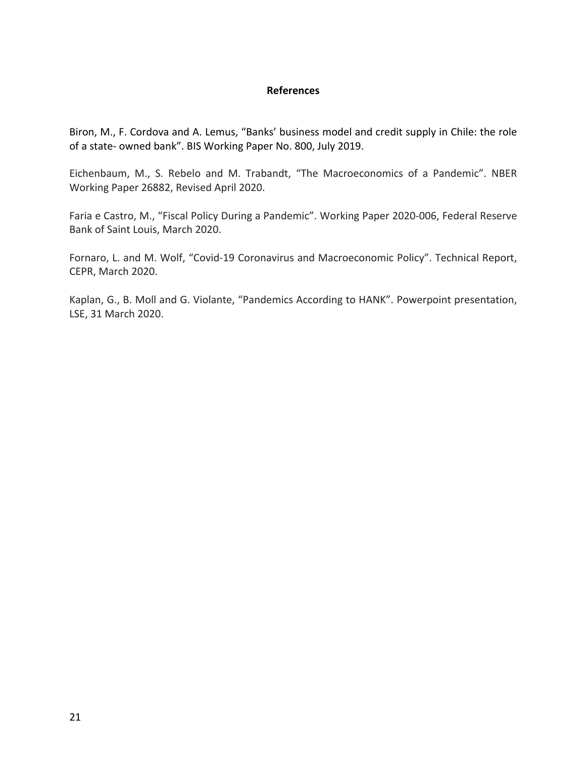### **References**

Biron, M., F. Cordova and A. Lemus, "Banks' business model and credit supply in Chile: the role of a state- owned bank". BIS Working Paper No. 800, July 2019.

Eichenbaum, M., S. Rebelo and M. Trabandt, "The Macroeconomics of a Pandemic". NBER Working Paper 26882, Revised April 2020.

Faria e Castro, M., "Fiscal Policy During a Pandemic". Working Paper 2020-006, Federal Reserve Bank of Saint Louis, March 2020.

Fornaro, L. and M. Wolf, "Covid-19 Coronavirus and Macroeconomic Policy". Technical Report, CEPR, March 2020.

Kaplan, G., B. Moll and G. Violante, "Pandemics According to HANK". Powerpoint presentation, LSE, 31 March 2020.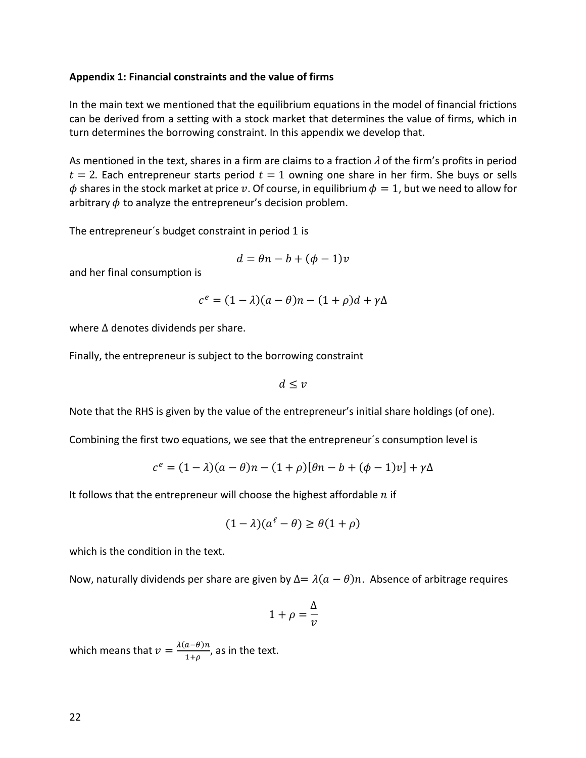#### **Appendix 1: Financial constraints and the value of firms**

In the main text we mentioned that the equilibrium equations in the model of financial frictions can be derived from a setting with a stock market that determines the value of firms, which in turn determines the borrowing constraint. In this appendix we develop that.

As mentioned in the text, shares in a firm are claims to a fraction  $\lambda$  of the firm's profits in period  $t = 2$ . Each entrepreneur starts period  $t = 1$  owning one share in her firm. She buys or sells  $\phi$  shares in the stock market at price v. Of course, in equilibrium  $\phi = 1$ , but we need to allow for arbitrary  $\phi$  to analyze the entrepreneur's decision problem.

The entrepreneur´s budget constraint in period 1 is

$$
d = \theta n - b + (\phi - 1)v
$$

and her final consumption is

$$
c^{e} = (1 - \lambda)(a - \theta)n - (1 + \rho)d + \gamma\Delta
$$

where Δ denotes dividends per share.

Finally, the entrepreneur is subject to the borrowing constraint

 $d \leq v$ 

Note that the RHS is given by the value of the entrepreneur's initial share holdings (of one).

Combining the first two equations, we see that the entrepreneur´s consumption level is

$$
c^{e} = (1 - \lambda)(a - \theta)n - (1 + \rho)[\theta n - b + (\phi - 1)v] + \gamma \Delta
$$

It follows that the entrepreneur will choose the highest affordable  $n$  if

$$
(1 - \lambda)(a^{\ell} - \theta) \ge \theta(1 + \rho)
$$

which is the condition in the text.

Now, naturally dividends per share are given by  $\Delta = \lambda (a - \theta)n$ . Absence of arbitrage requires

$$
1+\rho=\frac{\Delta}{v}
$$

which means that  $v = \frac{\lambda(a-\theta)n}{1+\rho}$ , as in the text.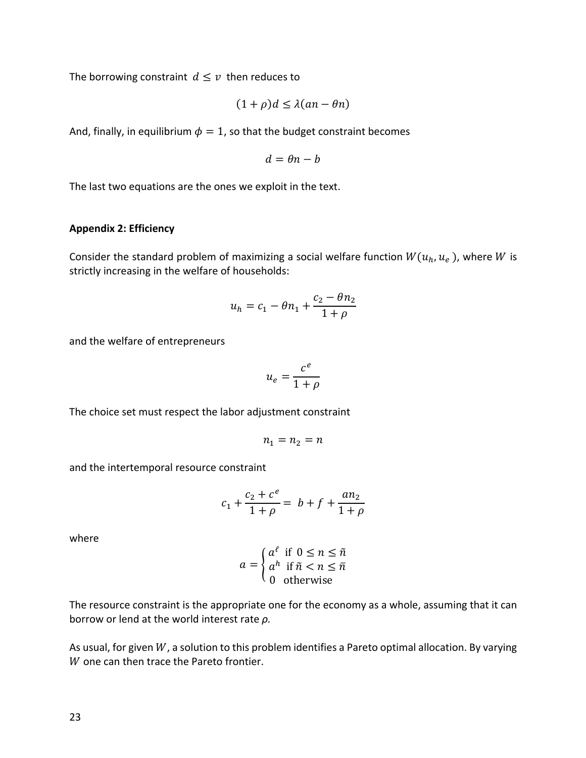The borrowing constraint  $d \leq v$  then reduces to

$$
(1+\rho)d \le \lambda(an-\theta n)
$$

And, finally, in equilibrium  $\phi = 1$ , so that the budget constraint becomes

$$
d = \theta n - b
$$

The last two equations are the ones we exploit in the text.

#### **Appendix 2: Efficiency**

Consider the standard problem of maximizing a social welfare function  $W(u_h, u_e)$ , where W is strictly increasing in the welfare of households:

$$
u_h = c_1 - \theta n_1 + \frac{c_2 - \theta n_2}{1 + \rho}
$$

and the welfare of entrepreneurs

$$
u_e = \frac{c^e}{1 + \rho}
$$

The choice set must respect the labor adjustment constraint

$$
n_1=n_2=n
$$

and the intertemporal resource constraint

$$
c_1 + \frac{c_2 + c^e}{1 + \rho} = b + f + \frac{an_2}{1 + \rho}
$$

where

$$
a = \begin{cases} a^{\ell} & \text{if } 0 \le n \le \tilde{n} \\ a^h & \text{if } \tilde{n} < n \le \bar{n} \\ 0 & \text{otherwise} \end{cases}
$$

The resource constraint is the appropriate one for the economy as a whole, assuming that it can borrow or lend at the world interest rate *ρ.*

As usual, for given  $W$ , a solution to this problem identifies a Pareto optimal allocation. By varying  $W$  one can then trace the Pareto frontier.